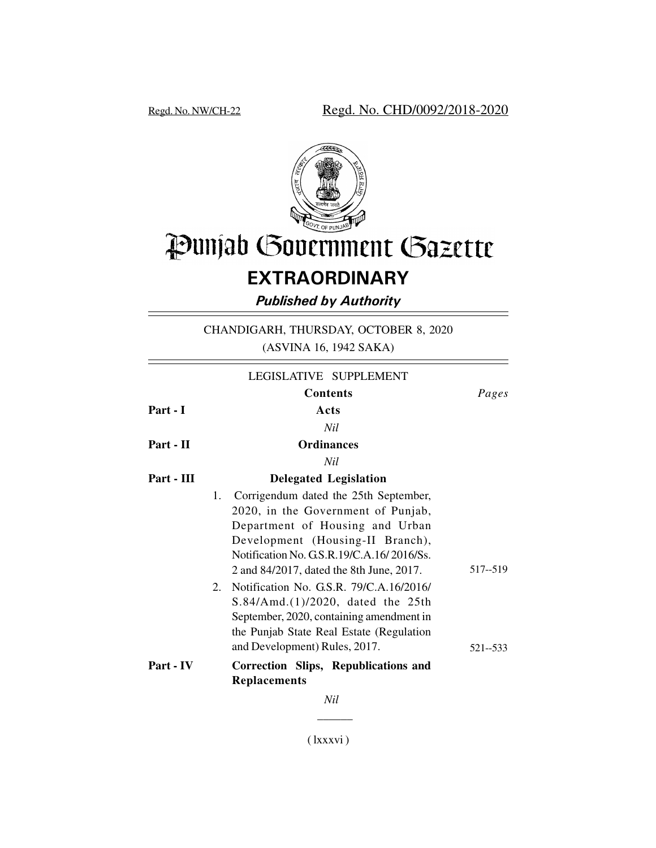

# Punjab Government Gazette

# **EXTRAORDINARY**

*Published by Authority*

CHANDIGARH, THURSDAY, OCTOBER 8, 2020 (ASVINA 16, 1942 SAKA)

|            | LEGISLATIVE SUPPLEMENT                                                                                                                                                                                                                         |          |
|------------|------------------------------------------------------------------------------------------------------------------------------------------------------------------------------------------------------------------------------------------------|----------|
|            | <b>Contents</b>                                                                                                                                                                                                                                | Pages    |
| Part - I   | Acts                                                                                                                                                                                                                                           |          |
|            | Nil                                                                                                                                                                                                                                            |          |
| Part - II  | <b>Ordinances</b>                                                                                                                                                                                                                              |          |
|            | Nil                                                                                                                                                                                                                                            |          |
| Part - III | <b>Delegated Legislation</b>                                                                                                                                                                                                                   |          |
|            | 1. Corrigendum dated the 25th September,<br>2020, in the Government of Punjab,<br>Department of Housing and Urban<br>Development (Housing-II Branch),<br>Notification No. G.S.R.19/C.A.16/2016/Ss.<br>2 and 84/2017, dated the 8th June, 2017. | 517--519 |
|            | Notification No. G.S.R. 79/C.A.16/2016/<br>2.<br>S.84/Amd.(1)/2020, dated the 25th<br>September, 2020, containing amendment in<br>the Punjab State Real Estate (Regulation<br>and Development) Rules, 2017.                                    | 521--533 |
| Part - IV  | Correction Slips, Republications and<br><b>Replacements</b>                                                                                                                                                                                    |          |
|            | Nil                                                                                                                                                                                                                                            |          |

( lxxxvi )

 *\_\_\_\_\_\_*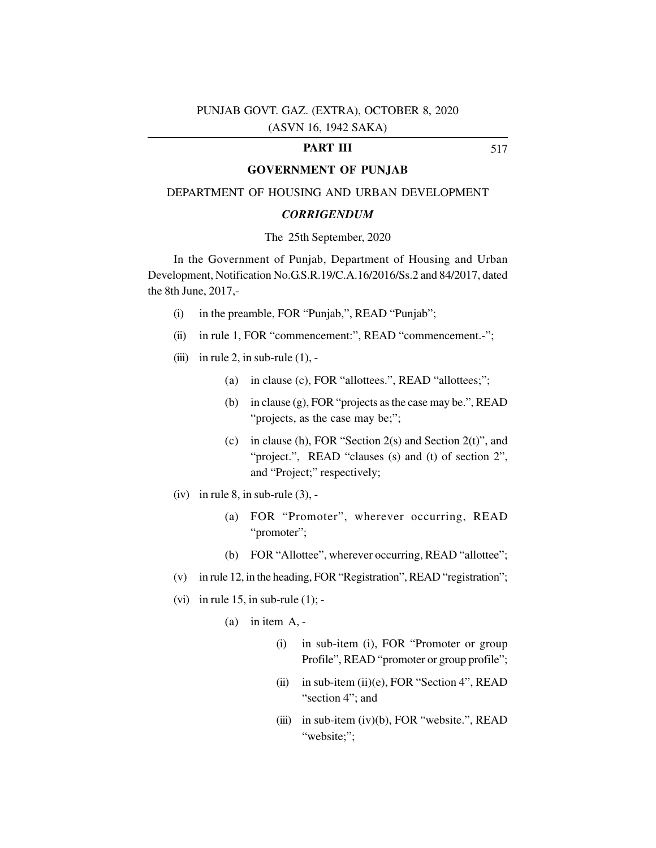# **PART III**

# **GOVERNMENT OF PUNJAB**

#### DEPARTMENT OF HOUSING AND URBAN DEVELOPMENT

#### *CORRIGENDUM*

#### The 25th September, 2020

In the Government of Punjab, Department of Housing and Urban Development, Notification No.G.S.R.19/C.A.16/2016/Ss.2 and 84/2017, dated the 8th June, 2017,-

- (i) in the preamble, FOR "Punjab,", READ "Punjab";
- (ii) in rule 1, FOR "commencement:", READ "commencement.-";
- (iii) in rule 2, in sub-rule  $(1)$ , -
	- (a) in clause (c), FOR "allottees.", READ "allottees;";
	- (b) in clause (g), FOR "projects as the case may be.", READ "projects, as the case may be;";
	- (c) in clause (h), FOR "Section 2(s) and Section 2(t)", and "project.", READ "clauses (s) and (t) of section 2", and "Project;" respectively;
- (iv) in rule  $8$ , in sub-rule  $(3)$ , -
	- (a) FOR "Promoter", wherever occurring, READ "promoter";
	- (b) FOR "Allottee", wherever occurring, READ "allottee";
- (v) in rule 12, in the heading, FOR "Registration", READ "registration";
- (vi) in rule 15, in sub-rule  $(1)$ ; -
	- $(a)$  in item A, -
		- (i) in sub-item (i), FOR "Promoter or group Profile", READ "promoter or group profile";
		- (ii) in sub-item (ii)(e), FOR "Section 4", READ "section 4"; and
		- (iii) in sub-item (iv)(b), FOR "website.", READ "website;";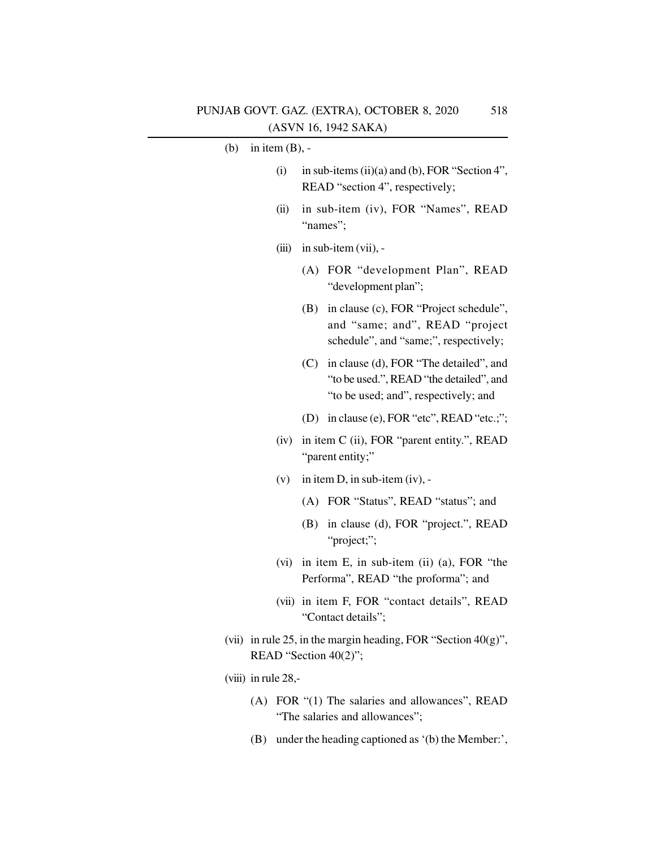# (b) in item (B), -

- (i) in sub-items (ii)(a) and (b), FOR "Section 4", READ "section 4", respectively;
- (ii) in sub-item (iv), FOR "Names", READ "names";
- $(iii)$  in sub-item  $(vii)$ , -
	- (A) FOR "development Plan", READ "development plan";
	- (B) in clause (c), FOR "Project schedule", and "same; and", READ "project schedule", and "same;", respectively;
	- (C) in clause (d), FOR "The detailed", and "to be used.", READ "the detailed", and "to be used; and", respectively; and
	- (D) in clause (e), FOR "etc", READ "etc.;";
- (iv) in item C (ii), FOR "parent entity.", READ "parent entity;"
- (v) in item D, in sub-item (iv), -
	- (A) FOR "Status", READ "status"; and
	- (B) in clause (d), FOR "project.", READ "project;";
- (vi) in item E, in sub-item (ii) (a), FOR "the Performa", READ "the proforma"; and
- (vii) in item F, FOR "contact details", READ "Contact details";
- (vii) in rule 25, in the margin heading, FOR "Section  $40(g)$ ", READ "Section 40(2)";
- (viii) in rule 28,-
	- (A) FOR "(1) The salaries and allowances", READ "The salaries and allowances";
	- (B) under the heading captioned as '(b) the Member:',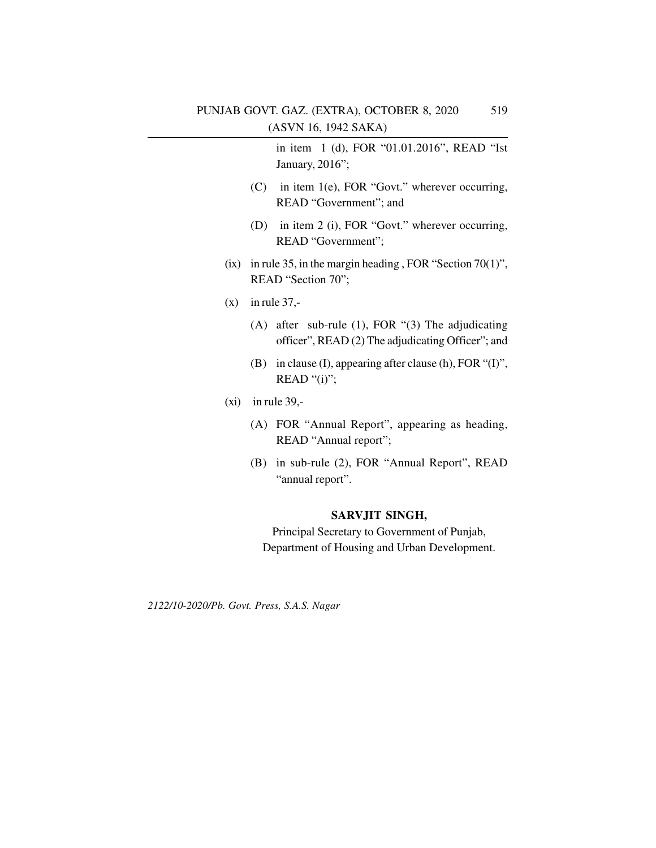in item 1 (d), FOR "01.01.2016", READ "Ist January, 2016";

- (C) in item 1(e), FOR "Govt." wherever occurring, READ "Government"; and
- (D) in item 2 (i), FOR "Govt." wherever occurring, READ "Government";
- (ix) in rule 35, in the margin heading, FOR "Section 70(1)", READ "Section 70";
- $(x)$  in rule 37.-
	- (A) after sub-rule (1), FOR "(3) The adjudicating officer", READ (2) The adjudicating Officer"; and
	- (B) in clause (I), appearing after clause (h), FOR "(I)", READ " $(i)$ ";
- $(xi)$  in rule 39,-
	- (A) FOR "Annual Report", appearing as heading, READ "Annual report";
	- (B) in sub-rule (2), FOR "Annual Report", READ "annual report".

# **SARVJIT SINGH,**

Principal Secretary to Government of Punjab, Department of Housing and Urban Development.

*2122/10-2020/Pb. Govt. Press, S.A.S. Nagar*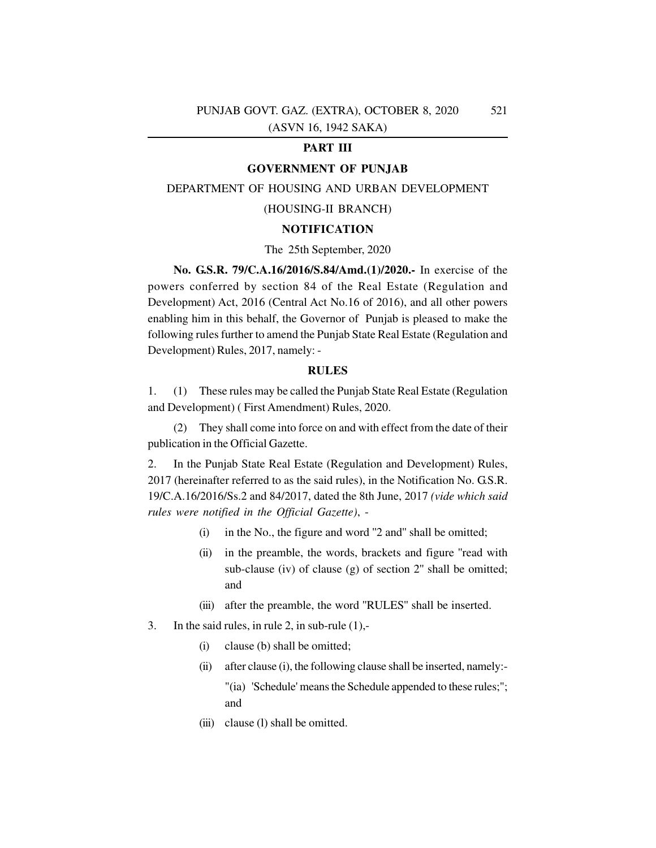### **PART III**

#### **GOVERNMENT OF PUNJAB**

#### DEPARTMENT OF HOUSING AND URBAN DEVELOPMENT

#### (HOUSING-II BRANCH)

# **NOTIFICATION**

#### The 25th September, 2020

**No. G.S.R. 79/C.A.16/2016/S.84/Amd.(1)/2020.-** In exercise of the powers conferred by section 84 of the Real Estate (Regulation and Development) Act, 2016 (Central Act No.16 of 2016), and all other powers enabling him in this behalf, the Governor of Punjab is pleased to make the following rules further to amend the Punjab State Real Estate (Regulation and Development) Rules, 2017, namely: -

#### **RULES**

1. (1) These rules may be called the Punjab State Real Estate (Regulation and Development) ( First Amendment) Rules, 2020.

(2) They shall come into force on and with effect from the date of their publication in the Official Gazette.

2. In the Punjab State Real Estate (Regulation and Development) Rules, 2017 (hereinafter referred to as the said rules), in the Notification No. G.S.R. 19/C.A.16/2016/Ss.2 and 84/2017, dated the 8th June, 2017 *(vide which said rules were notified in the Official Gazette)*, -

- (i) in the No., the figure and word ''2 and'' shall be omitted;
- (ii) in the preamble, the words, brackets and figure ''read with sub-clause (iv) of clause (g) of section 2" shall be omitted; and
- (iii) after the preamble, the word ''RULES'' shall be inserted.
- 3. In the said rules, in rule 2, in sub-rule (1),-
	- (i) clause (b) shall be omitted;
	- (ii) after clause (i), the following clause shall be inserted, namely:- "(ia) 'Schedule' means the Schedule appended to these rules;"; and
	- (iii) clause (1) shall be omitted.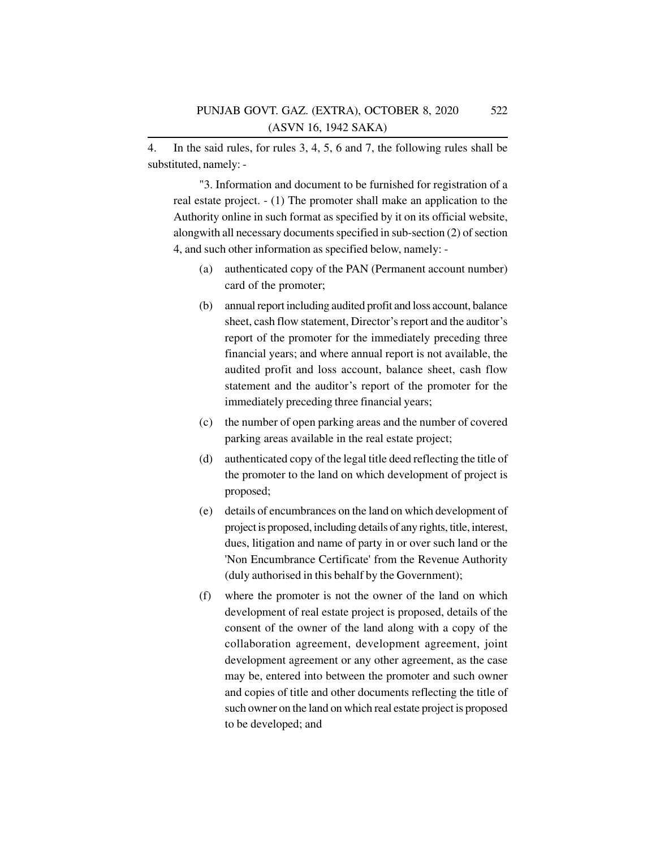4. In the said rules, for rules 3, 4, 5, 6 and 7, the following rules shall be substituted, namely: -

"3. Information and document to be furnished for registration of a real estate project. - (1) The promoter shall make an application to the Authority online in such format as specified by it on its official website, alongwith all necessary documents specified in sub-section (2) of section 4, and such other information as specified below, namely: -

- (a) authenticated copy of the PAN (Permanent account number) card of the promoter;
- (b) annual report including audited profit and loss account, balance sheet, cash flow statement, Director's report and the auditor's report of the promoter for the immediately preceding three financial years; and where annual report is not available, the audited profit and loss account, balance sheet, cash flow statement and the auditor's report of the promoter for the immediately preceding three financial years;
- (c) the number of open parking areas and the number of covered parking areas available in the real estate project;
- (d) authenticated copy of the legal title deed reflecting the title of the promoter to the land on which development of project is proposed;
- (e) details of encumbrances on the land on which development of project is proposed, including details of any rights, title, interest, dues, litigation and name of party in or over such land or the 'Non Encumbrance Certificate' from the Revenue Authority (duly authorised in this behalf by the Government);
- (f) where the promoter is not the owner of the land on which development of real estate project is proposed, details of the consent of the owner of the land along with a copy of the collaboration agreement, development agreement, joint development agreement or any other agreement, as the case may be, entered into between the promoter and such owner and copies of title and other documents reflecting the title of such owner on the land on which real estate project is proposed to be developed; and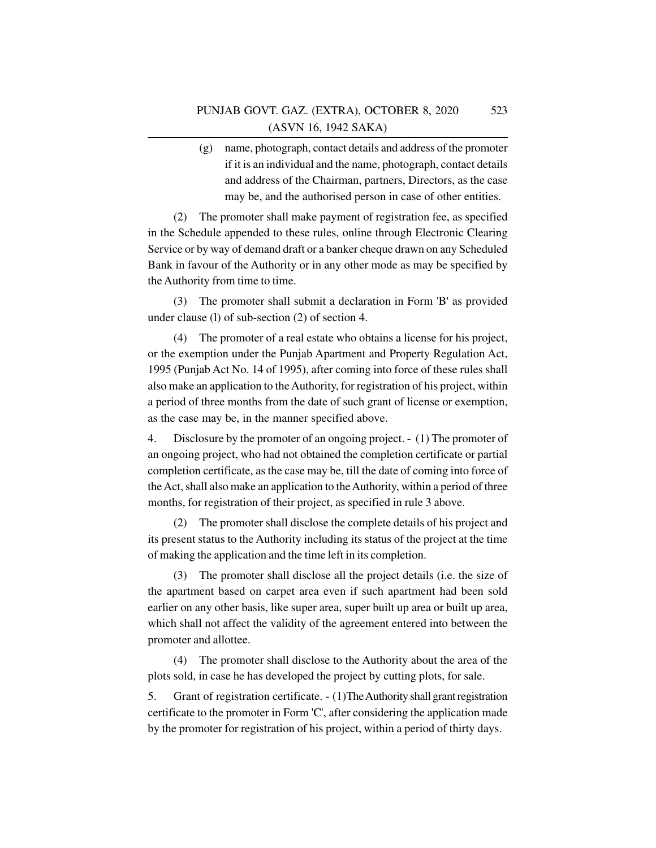(g) name, photograph, contact details and address of the promoter if it is an individual and the name, photograph, contact details and address of the Chairman, partners, Directors, as the case may be, and the authorised person in case of other entities.

(2) The promoter shall make payment of registration fee, as specified in the Schedule appended to these rules, online through Electronic Clearing Service or by way of demand draft or a banker cheque drawn on any Scheduled Bank in favour of the Authority or in any other mode as may be specified by the Authority from time to time.

(3) The promoter shall submit a declaration in Form 'B' as provided under clause (l) of sub-section (2) of section 4.

(4) The promoter of a real estate who obtains a license for his project, or the exemption under the Punjab Apartment and Property Regulation Act, 1995 (Punjab Act No. 14 of 1995), after coming into force of these rules shall also make an application to the Authority, for registration of his project, within a period of three months from the date of such grant of license or exemption, as the case may be, in the manner specified above.

4. Disclosure by the promoter of an ongoing project. - (1) The promoter of an ongoing project, who had not obtained the completion certificate or partial completion certificate, as the case may be, till the date of coming into force of the Act, shall also make an application to the Authority, within a period of three months, for registration of their project, as specified in rule 3 above.

(2) The promoter shall disclose the complete details of his project and its present status to the Authority including its status of the project at the time of making the application and the time left in its completion.

(3) The promoter shall disclose all the project details (i.e. the size of the apartment based on carpet area even if such apartment had been sold earlier on any other basis, like super area, super built up area or built up area, which shall not affect the validity of the agreement entered into between the promoter and allottee.

(4) The promoter shall disclose to the Authority about the area of the plots sold, in case he has developed the project by cutting plots, for sale.

5. Grant of registration certificate. - (1)The Authority shall grant registration certificate to the promoter in Form 'C', after considering the application made by the promoter for registration of his project, within a period of thirty days.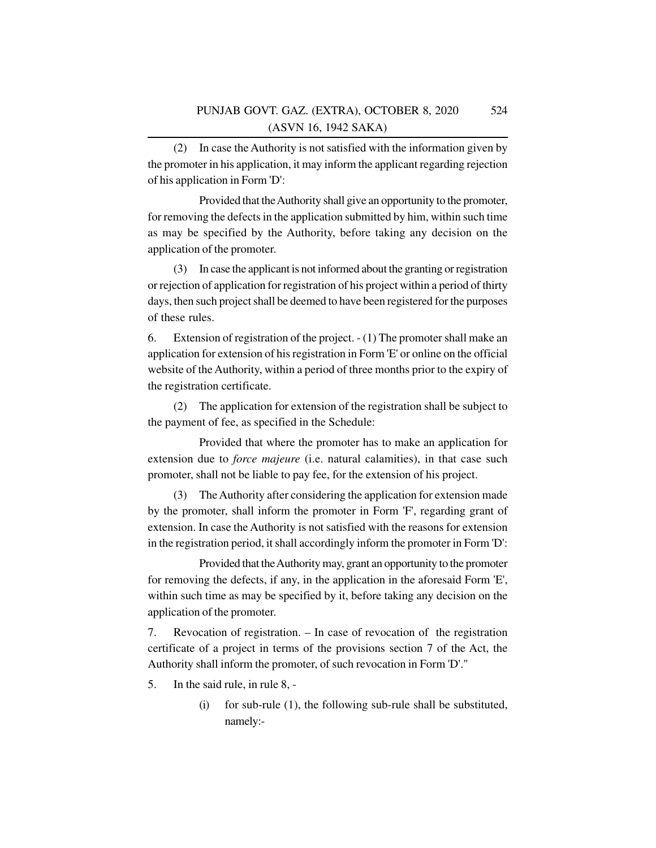(2) In case the Authority is not satisfied with the information given by the promoter in his application, it may inform the applicant regarding rejection of his application in Form 'D':

Provided that the Authority shall give an opportunity to the promoter, for removing the defects in the application submitted by him, within such time as may be specified by the Authority, before taking any decision on the application of the promoter.

(3) In case the applicant is not informed about the granting or registration or rejection of application for registration of his project within a period of thirty days, then such project shall be deemed to have been registered for the purposes of these rules.

6. Extension of registration of the project. - (1) The promoter shall make an application for extension of his registration in Form 'E' or online on the official website of the Authority, within a period of three months prior to the expiry of the registration certificate.

(2) The application for extension of the registration shall be subject to the payment of fee, as specified in the Schedule:

Provided that where the promoter has to make an application for extension due to *force majeure* (i.e. natural calamities), in that case such promoter, shall not be liable to pay fee, for the extension of his project.

(3) The Authority after considering the application for extension made by the promoter, shall inform the promoter in Form 'F', regarding grant of extension. In case the Authority is not satisfied with the reasons for extension in the registration period, it shall accordingly inform the promoter in Form 'D':

Provided that the Authority may, grant an opportunity to the promoter for removing the defects, if any, in the application in the aforesaid Form 'E', within such time as may be specified by it, before taking any decision on the application of the promoter.

7. Revocation of registration. – In case of revocation of the registration certificate of a project in terms of the provisions section 7 of the Act, the Authority shall inform the promoter, of such revocation in Form 'D'."

- 5. In the said rule, in rule 8,
	- (i) for sub-rule (1), the following sub-rule shall be substituted, namely:-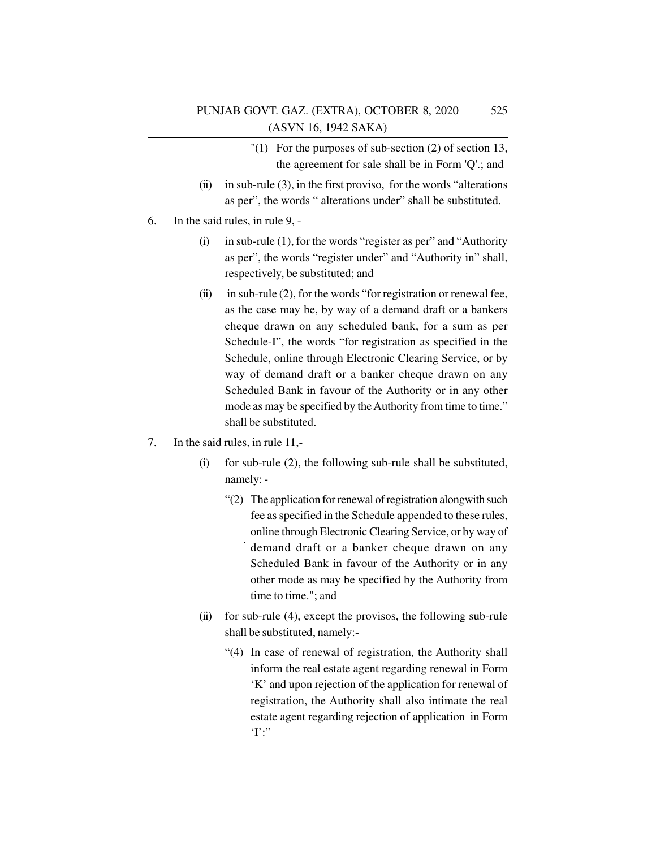- $''(1)$  For the purposes of sub-section (2) of section 13, the agreement for sale shall be in Form 'Q'.; and
- (ii) in sub-rule  $(3)$ , in the first proviso, for the words "alterations" as per", the words " alterations under" shall be substituted.
- 6. In the said rules, in rule 9,
	- (i) in sub-rule (1), for the words "register as per" and "Authority as per", the words "register under" and "Authority in" shall, respectively, be substituted; and
	- (ii) in sub-rule (2), for the words "for registration or renewal fee, as the case may be, by way of a demand draft or a bankers cheque drawn on any scheduled bank, for a sum as per Schedule-I", the words "for registration as specified in the Schedule, online through Electronic Clearing Service, or by way of demand draft or a banker cheque drawn on any Scheduled Bank in favour of the Authority or in any other mode as may be specified by the Authority from time to time." shall be substituted.
- 7. In the said rules, in rule 11,-
	- (i) for sub-rule (2), the following sub-rule shall be substituted, namely: -
		- "(2) The application for renewal of registration alongwith such fee as specified in the Schedule appended to these rules, online through Electronic Clearing Service, or by way of demand draft or a banker cheque drawn on any Scheduled Bank in favour of the Authority or in any other mode as may be specified by the Authority from time to time."; and
	- (ii) for sub-rule (4), except the provisos, the following sub-rule shall be substituted, namely:-
		- "(4) In case of renewal of registration, the Authority shall inform the real estate agent regarding renewal in Form 'K' and upon rejection of the application for renewal of registration, the Authority shall also intimate the real estate agent regarding rejection of application in Form  $T$ :"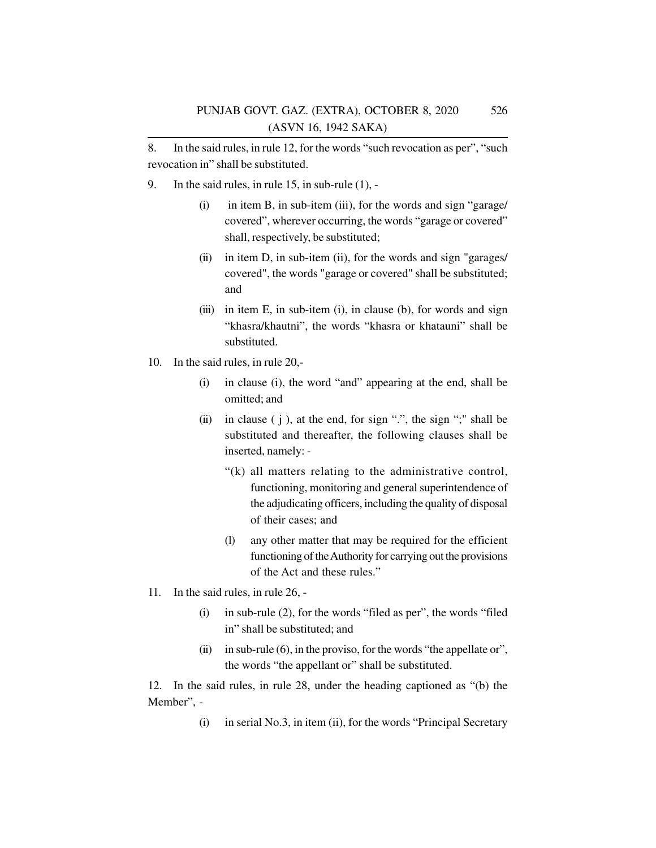8. In the said rules, in rule 12, for the words "such revocation as per", "such revocation in" shall be substituted.

- 9. In the said rules, in rule 15, in sub-rule (1),
	- (i) in item B, in sub-item (iii), for the words and sign "garage/ covered", wherever occurring, the words "garage or covered" shall, respectively, be substituted;
	- (ii) in item D, in sub-item (ii), for the words and sign "garages/ covered", the words "garage or covered" shall be substituted; and
	- (iii) in item E, in sub-item (i), in clause (b), for words and sign "khasra/khautni", the words "khasra or khatauni" shall be substituted.
- 10. In the said rules, in rule 20,-
	- (i) in clause (i), the word "and" appearing at the end, shall be omitted; and
	- (ii) in clause  $(i)$ , at the end, for sign ".", the sign ";" shall be substituted and thereafter, the following clauses shall be inserted, namely: -
		- "(k) all matters relating to the administrative control, functioning, monitoring and general superintendence of the adjudicating officers, including the quality of disposal of their cases; and
		- (l) any other matter that may be required for the efficient functioning of the Authority for carrying out the provisions of the Act and these rules."
- 11. In the said rules, in rule 26,
	- (i) in sub-rule (2), for the words "filed as per", the words "filed in" shall be substituted; and
	- (ii) in sub-rule  $(6)$ , in the proviso, for the words "the appellate or", the words "the appellant or" shall be substituted.

12. In the said rules, in rule 28, under the heading captioned as "(b) the Member", -

(i) in serial No.3, in item (ii), for the words "Principal Secretary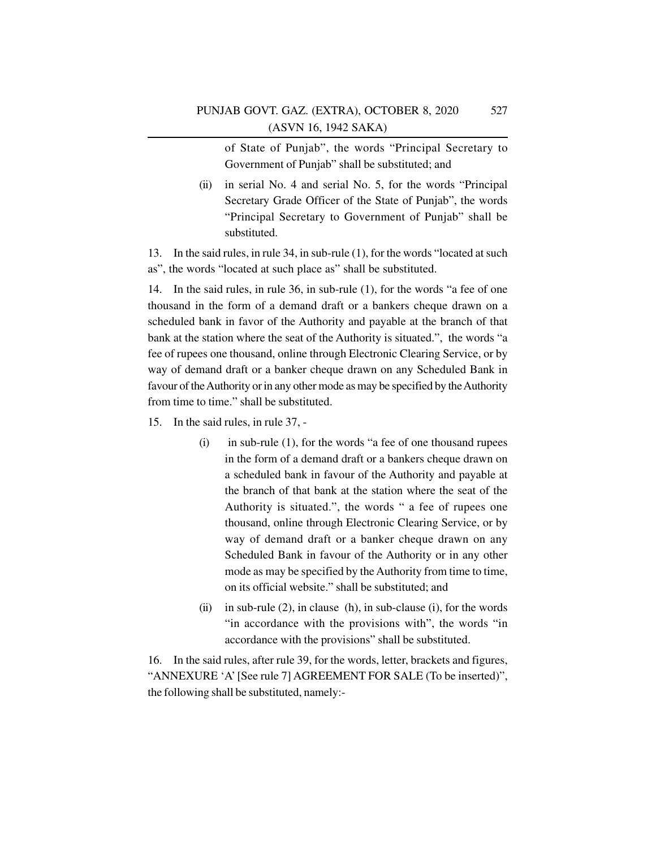of State of Punjab", the words "Principal Secretary to Government of Punjab" shall be substituted; and

(ii) in serial No. 4 and serial No. 5, for the words "Principal Secretary Grade Officer of the State of Punjab", the words "Principal Secretary to Government of Punjab" shall be substituted.

13. In the said rules, in rule 34, in sub-rule (1), for the words "located at such as", the words "located at such place as" shall be substituted.

14. In the said rules, in rule 36, in sub-rule (1), for the words "a fee of one thousand in the form of a demand draft or a bankers cheque drawn on a scheduled bank in favor of the Authority and payable at the branch of that bank at the station where the seat of the Authority is situated.", the words "a fee of rupees one thousand, online through Electronic Clearing Service, or by way of demand draft or a banker cheque drawn on any Scheduled Bank in favour of the Authority or in any other mode as may be specified by the Authority from time to time." shall be substituted.

- 15. In the said rules, in rule 37,
	- $(i)$  in sub-rule  $(1)$ , for the words "a fee of one thousand rupees in the form of a demand draft or a bankers cheque drawn on a scheduled bank in favour of the Authority and payable at the branch of that bank at the station where the seat of the Authority is situated.", the words " a fee of rupees one thousand, online through Electronic Clearing Service, or by way of demand draft or a banker cheque drawn on any Scheduled Bank in favour of the Authority or in any other mode as may be specified by the Authority from time to time, on its official website." shall be substituted; and
	- (ii) in sub-rule  $(2)$ , in clause  $(h)$ , in sub-clause  $(i)$ , for the words "in accordance with the provisions with", the words "in accordance with the provisions" shall be substituted.

16. In the said rules, after rule 39, for the words, letter, brackets and figures, "ANNEXURE 'A' [See rule 7] AGREEMENT FOR SALE (To be inserted)", the following shall be substituted, namely:-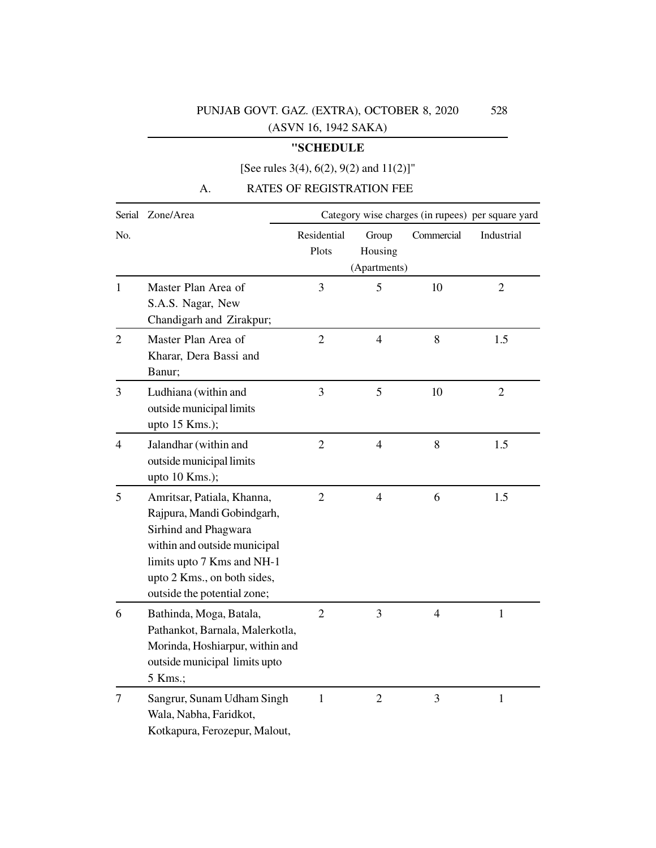# **"SCHEDULE**

# [See rules 3(4), 6(2), 9(2) and 11(2)]"

# A. RATES OF REGISTRATION FEE

|                | Serial Zone/Area                                                                                                                                                                                             | Category wise charges (in rupees) per square yard |                                  |                |                |  |
|----------------|--------------------------------------------------------------------------------------------------------------------------------------------------------------------------------------------------------------|---------------------------------------------------|----------------------------------|----------------|----------------|--|
| No.            |                                                                                                                                                                                                              | Residential<br>Plots                              | Group<br>Housing<br>(Apartments) | Commercial     | Industrial     |  |
| $\mathbf{1}$   | Master Plan Area of<br>S.A.S. Nagar, New<br>Chandigarh and Zirakpur;                                                                                                                                         | 3                                                 | 5                                | 10             | $\overline{2}$ |  |
| $\overline{2}$ | Master Plan Area of<br>Kharar, Dera Bassi and<br>Banur;                                                                                                                                                      | $\overline{2}$                                    | $\overline{4}$                   | 8              | 1.5            |  |
| 3              | Ludhiana (within and<br>outside municipal limits<br>upto 15 Kms.);                                                                                                                                           | 3                                                 | 5                                | 10             | $\overline{2}$ |  |
| 4              | Jalandhar (within and<br>outside municipal limits<br>upto 10 Kms.);                                                                                                                                          | $\overline{2}$                                    | $\overline{4}$                   | 8              | 1.5            |  |
| 5              | Amritsar, Patiala, Khanna,<br>Rajpura, Mandi Gobindgarh,<br>Sirhind and Phagwara<br>within and outside municipal<br>limits upto 7 Kms and NH-1<br>upto 2 Kms., on both sides,<br>outside the potential zone; | $\overline{2}$                                    | $\overline{4}$                   | 6              | 1.5            |  |
| 6              | Bathinda, Moga, Batala,<br>Pathankot, Barnala, Malerkotla,<br>Morinda, Hoshiarpur, within and<br>outside municipal limits upto<br>5 Kms.;                                                                    | $\overline{2}$                                    | 3                                | $\overline{4}$ | $\mathbf{1}$   |  |
| 7              | Sangrur, Sunam Udham Singh<br>Wala, Nabha, Faridkot,<br>Kotkapura, Ferozepur, Malout,                                                                                                                        | $\mathbf{1}$                                      | $\overline{2}$                   | 3              | $\mathbf{1}$   |  |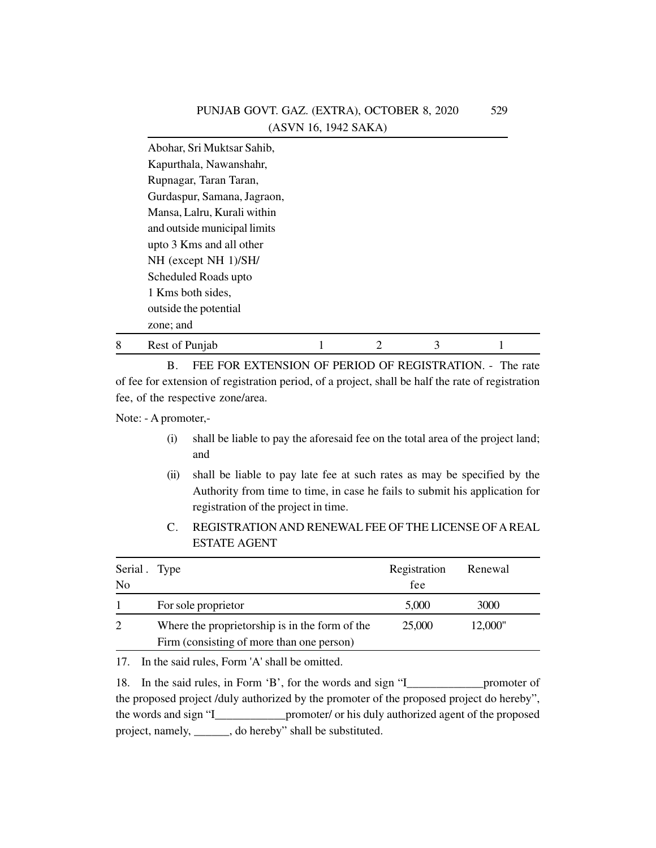|   | Abohar, Sri Muktsar Sahib,   |  |   |  |
|---|------------------------------|--|---|--|
|   | Kapurthala, Nawanshahr,      |  |   |  |
|   | Rupnagar, Taran Taran,       |  |   |  |
|   | Gurdaspur, Samana, Jagraon,  |  |   |  |
|   | Mansa, Lalru, Kurali within  |  |   |  |
|   | and outside municipal limits |  |   |  |
|   | upto 3 Kms and all other     |  |   |  |
|   | NH (except NH 1)/SH/         |  |   |  |
|   | Scheduled Roads upto         |  |   |  |
|   | 1 Kms both sides,            |  |   |  |
|   | outside the potential        |  |   |  |
|   | zone; and                    |  |   |  |
| 8 | Rest of Punjab               |  | 3 |  |

B. FEE FOR EXTENSION OF PERIOD OF REGISTRATION. - The rate of fee for extension of registration period, of a project, shall be half the rate of registration fee, of the respective zone/area.

Note: - A promoter,-

- (i) shall be liable to pay the aforesaid fee on the total area of the project land; and
- (ii) shall be liable to pay late fee at such rates as may be specified by the Authority from time to time, in case he fails to submit his application for registration of the project in time.
- C. REGISTRATION AND RENEWAL FEE OF THE LICENSE OF A REAL ESTATE AGENT

| Serial Type<br>N <sub>0</sub> |                                                                                             | Registration<br>fee | Renewal |  |
|-------------------------------|---------------------------------------------------------------------------------------------|---------------------|---------|--|
|                               | For sole proprietor                                                                         | 5,000               | 3000    |  |
| 2                             | Where the proprietorship is in the form of the<br>Firm (consisting of more than one person) | 25,000              | 12,000" |  |

17. In the said rules, Form 'A' shall be omitted.

18. In the said rules, in Form 'B', for the words and sign "I\_\_\_\_\_\_\_\_\_\_\_\_\_promoter of the proposed project /duly authorized by the promoter of the proposed project do hereby", the words and sign "I\_\_\_\_\_\_\_\_\_\_\_\_promoter/ or his duly authorized agent of the proposed project, namely, \_\_\_\_\_\_, do hereby" shall be substituted.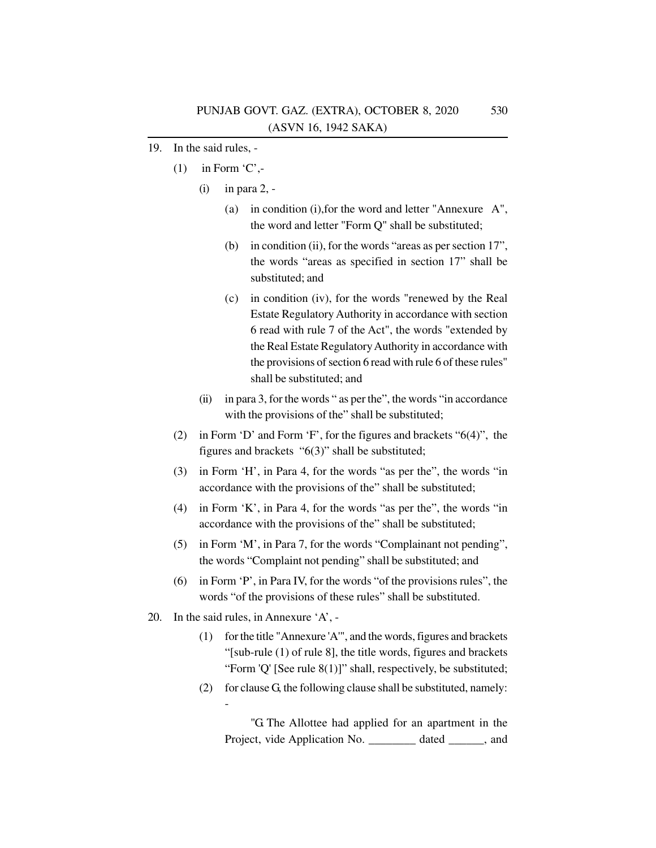- 19. In the said rules,
	- $(1)$  in Form 'C',-
		- (i) in para 2,
			- (a) in condition (i),for the word and letter "Annexure A", the word and letter "Form Q" shall be substituted;
			- (b) in condition (ii), for the words "areas as per section 17", the words "areas as specified in section 17" shall be substituted; and
			- (c) in condition (iv), for the words "renewed by the Real Estate Regulatory Authority in accordance with section 6 read with rule 7 of the Act", the words "extended by the Real Estate Regulatory Authority in accordance with the provisions of section 6 read with rule 6 of these rules" shall be substituted; and
		- (ii) in para 3, for the words " as per the", the words "in accordance with the provisions of the" shall be substituted;
	- (2) in Form 'D' and Form 'F', for the figures and brackets "6(4)", the figures and brackets "6(3)" shall be substituted;
	- (3) in Form 'H', in Para 4, for the words "as per the", the words "in accordance with the provisions of the" shall be substituted;
	- (4) in Form 'K', in Para 4, for the words "as per the", the words "in accordance with the provisions of the" shall be substituted;
	- (5) in Form 'M', in Para 7, for the words "Complainant not pending", the words "Complaint not pending" shall be substituted; and
	- (6) in Form 'P', in Para IV, for the words "of the provisions rules", the words "of the provisions of these rules" shall be substituted.
- 20. In the said rules, in Annexure 'A', -

-

- (1) for the title "Annexure 'A'", and the words, figures and brackets "[sub-rule (1) of rule 8], the title words, figures and brackets "Form 'Q' [See rule 8(1)]" shall, respectively, be substituted;
- (2) for clause G, the following clause shall be substituted, namely:

"G. The Allottee had applied for an apartment in the Project, vide Application No. \_\_\_\_\_\_\_\_ dated \_\_\_\_\_\_, and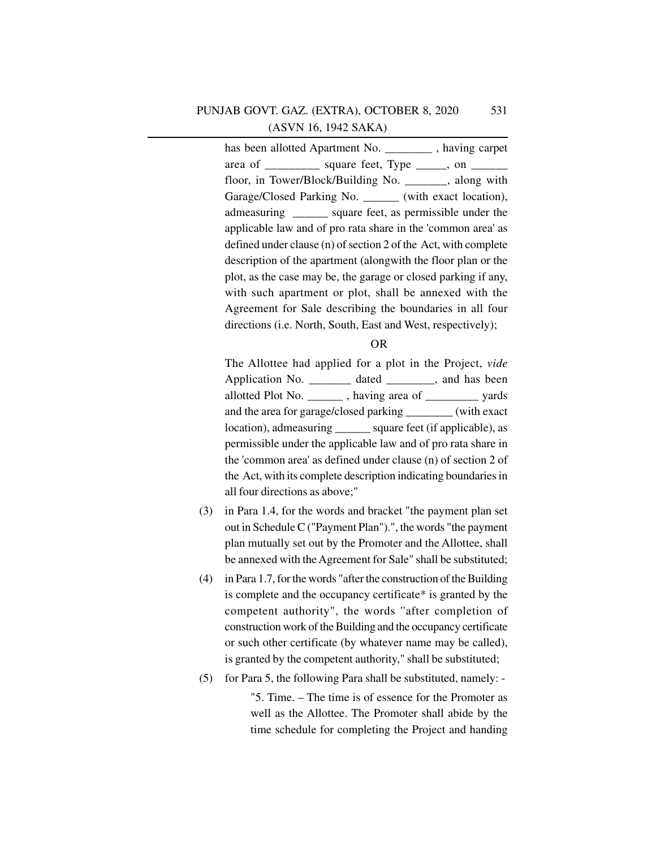has been allotted Apartment No. having carpet area of \_\_\_\_\_\_\_\_\_\_ square feet, Type  $\_\_\_\_\_\$  on  $\_\_\_\_\_\_\$ floor, in Tower/Block/Building No. \_\_\_\_\_\_\_, along with Garage/Closed Parking No. (with exact location), admeasuring \_\_\_\_\_\_ square feet, as permissible under the applicable law and of pro rata share in the 'common area' as defined under clause (n) of section 2 of the Act, with complete description of the apartment (alongwith the floor plan or the plot, as the case may be, the garage or closed parking if any, with such apartment or plot, shall be annexed with the Agreement for Sale describing the boundaries in all four directions (i.e. North, South, East and West, respectively);

#### OR

The Allottee had applied for a plot in the Project, *vide* Application No. \_\_\_\_\_\_\_\_ dated \_\_\_\_\_\_\_, and has been allotted Plot No.  $\qquad \qquad$ , having area of  $\qquad \qquad$  yards and the area for garage/closed parking \_\_\_\_\_\_\_\_ (with exact location), admeasuring \_\_\_\_\_\_ square feet (if applicable), as permissible under the applicable law and of pro rata share in the 'common area' as defined under clause (n) of section 2 of the Act, with its complete description indicating boundaries in all four directions as above;"

- (3) in Para 1.4, for the words and bracket "the payment plan set out in Schedule C ("Payment Plan").", the words "the payment plan mutually set out by the Promoter and the Allottee, shall be annexed with the Agreement for Sale" shall be substituted;
- (4) in Para 1.7, for the words "after the construction of the Building is complete and the occupancy certificate\* is granted by the competent authority", the words ''after completion of construction work of the Building and the occupancy certificate or such other certificate (by whatever name may be called), is granted by the competent authority," shall be substituted;
- (5) for Para 5, the following Para shall be substituted, namely: -

"5. Time. – The time is of essence for the Promoter as well as the Allottee. The Promoter shall abide by the time schedule for completing the Project and handing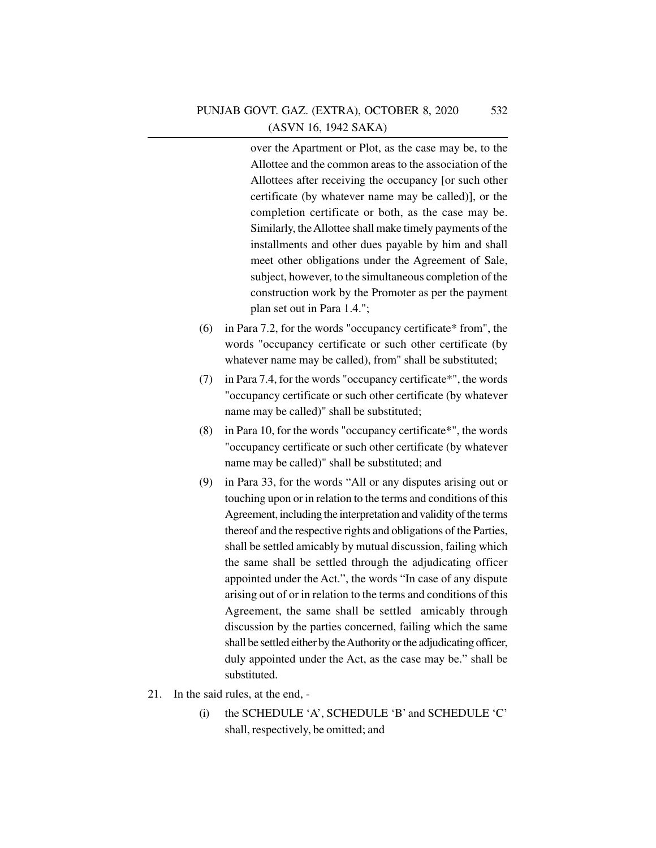over the Apartment or Plot, as the case may be, to the Allottee and the common areas to the association of the Allottees after receiving the occupancy [or such other certificate (by whatever name may be called)], or the completion certificate or both, as the case may be. Similarly, the Allottee shall make timely payments of the installments and other dues payable by him and shall meet other obligations under the Agreement of Sale, subject, however, to the simultaneous completion of the construction work by the Promoter as per the payment plan set out in Para 1.4.";

- (6) in Para 7.2, for the words "occupancy certificate\* from", the words "occupancy certificate or such other certificate (by whatever name may be called), from" shall be substituted;
- (7) in Para 7.4, for the words "occupancy certificate\*", the words "occupancy certificate or such other certificate (by whatever name may be called)" shall be substituted;
- (8) in Para 10, for the words "occupancy certificate\*", the words "occupancy certificate or such other certificate (by whatever name may be called)" shall be substituted; and
- (9) in Para 33, for the words "All or any disputes arising out or touching upon or in relation to the terms and conditions of this Agreement, including the interpretation and validity of the terms thereof and the respective rights and obligations of the Parties, shall be settled amicably by mutual discussion, failing which the same shall be settled through the adjudicating officer appointed under the Act.", the words "In case of any dispute arising out of or in relation to the terms and conditions of this Agreement, the same shall be settled amicably through discussion by the parties concerned, failing which the same shall be settled either by the Authority or the adjudicating officer, duly appointed under the Act, as the case may be." shall be substituted.
- 21. In the said rules, at the end,
	- (i) the SCHEDULE 'A', SCHEDULE 'B' and SCHEDULE 'C' shall, respectively, be omitted; and